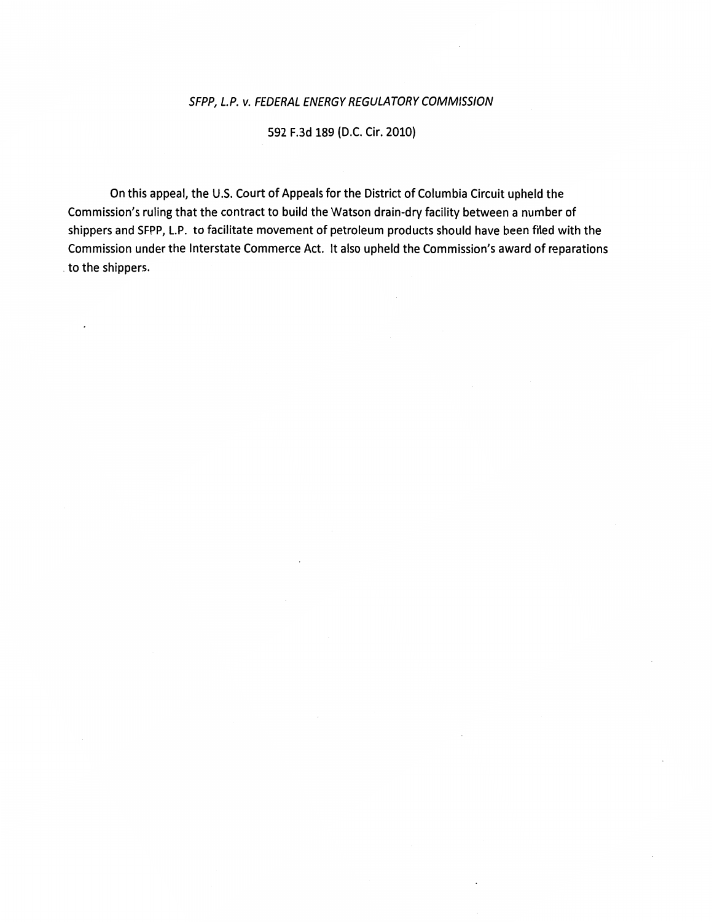# SFPP, L.P. *v.* FEDERAL ENERGY REGULATORY COMMISSION

# 592 F.3d 189 (D.C. Cir. 2010)

On this appeal, the U.S. Court of Appeals for the District of Columbia Circuit upheld the Commission's ruling that the contract to build the Watson drain-dry facility between a number of shippers and SFPP, L.P. to facilitate movement of petroleum products should have been filed with the Commission under the Interstate Commerce Act. It also upheld the Commission's award of reparations . to the shippers.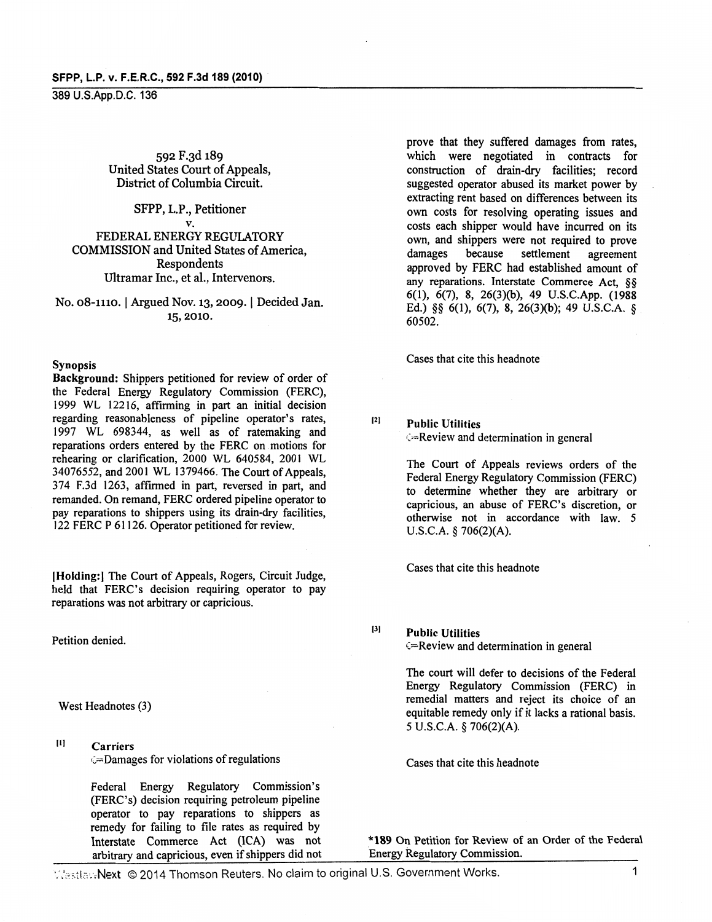592 F.3d189 United States Court of Appeals, District of Columbia Circuit.

SFPP, L.P., Petitioner v. FEDERAL ENERGY REGULATORY COMMISSION and United States of America, Respondents Ultramar Inc., et al., Intervenors.

No. oS-1110. I Argued Nov. 13, 2009. I Decided Jan. 15,2010.

#### Synopsis

Background: Shippers petitioned for review of order of the Federal Energy Regulatory Commission (FERC), 1999 WL 12216, affirming in part an initial decision regarding reasonableness of pipeline operator's rates, 1997 WL 698344, as well as of ratemaking and reparations orders entered by the FERC on motions for rehearing or clarification, 2000 WL 640584, 2001 WL 34076552, and 2001 WL 1379466. The Court of Appeals, 374 F.3d 1263, affmned in part, reversed in part, and remanded. On remand, FERC ordered pipeline operator to pay reparations to shippers using its drain-dry facilities, 122 FERC P 61126. Operator petitioned for review.

[Holding:] The Court of Appeals, Rogers, Circuit Judge, held that FERC's decision requiring operator to pay reparations was not arbitrary or capricious.

Petition denied.

West Headnotes (3)

[II Carriers

(=Damages for violations of regulations

Federal Energy Regulatory Commission's (FERC's) decision requiring petroleum pipeline operator to pay reparations to shippers as remedy for failing to file rates as required by arbitrary and capricious, even if shippers did not prove that they suffered damages from rates, which were negotiated in contracts for construction of drain-dry facilities; record suggested operator abused its market power by extracting rent based on differences between its own costs for resolving operating issues and costs each shipper would have incurred on its own, and shippers were not required to prove<br>damages because settlement agreement settlement approved by FERC had established amount of any reparations. Interstate Commerce Act, §§ 6(1), 6(7), 8, 26(3)(b), 49 U.S.C.App. (1988 Ed.) §§ 6(1), 6(7), 8, 26(3)(b); 49 U.S.C.A. § 60502.

Cases that cite this headnote

(21 Public Utilities

**Review and determination in general** 

The Court of Appeals reviews orders of the Federal Energy Regulatory Commission (FERC) to determine whether they are arbitrary or capricious, an abuse of FERC's discretion, or otherwise not in accordance with law. 5 U.S.C.A. § 706(2)(A).

Cases that cite this headnote

 $[3]$ Public Utilities

(=Review and determination in general

The court will defer to decisions of the Federal Energy Regulatory Commission (FERC) in remedial matters and reject its choice of an equitable remedy only if it lacks a rational basis. 5 U.S.C.A. § 706(2)(A).

Cases that cite this headnote

Interstate Commerce Act (ICA) was not \*189 On Petition for Review of an Order of the Federal arbitrary and capricious, even if shippers did not Energy Regulatory Commission.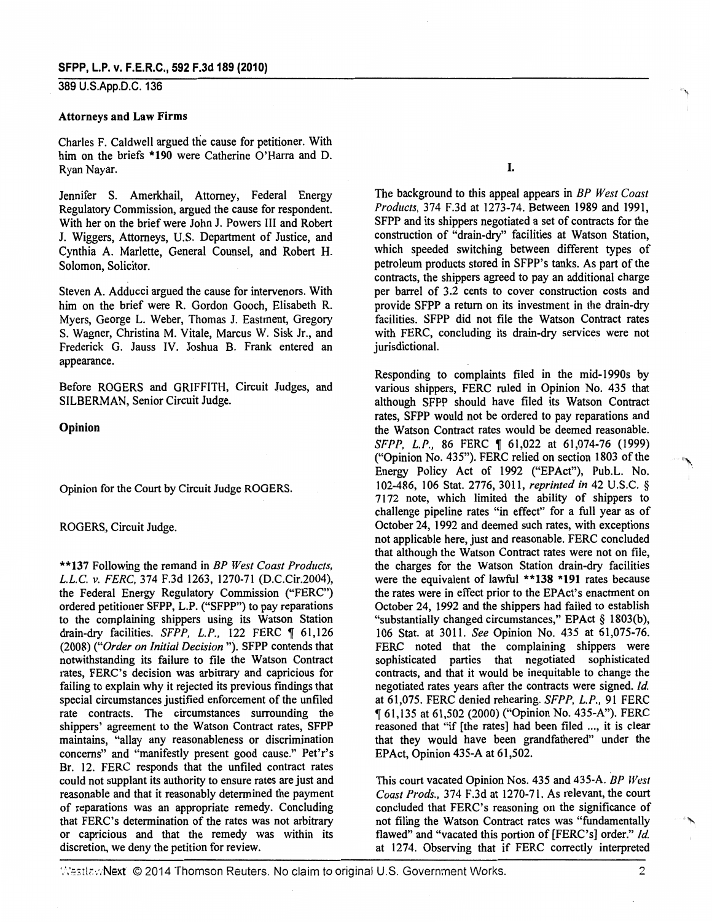#### Attorneys and Law Firms

Charles F. Caldwell argued the cause for petitioner. With him on the briefs \*190 were Catherine O'Harra and D. Ryan Nayar.

Jennifer S. Amerkhail, Attorney, Federal Energy Regulatory Commission, argued the cause for respondent. With her on the brief were John J. Powers III and Robert J. Wiggers, Attorneys, U.S. Department of Justice, and Cynthia A. Marlette, General Counsel, and Robert H. Solomon, Solicitor.

Steven A. Adducci argued the cause for intervenors. With him on the brief were R. Gordon Gooch, Elisabeth R. Myers, George L. Weber, Thomas J. Eastment, Gregory S. Wagner, Christina M. Vitale, Marcus W. Sisk Jr., and Frederick G. Jauss IV. Joshua B. Frank entered an appearance.

Before ROGERS and GRIFFITH, Circuit Judges, and SILBERMAN, Senior Circuit Judge.

## Opinion

Opinion for the Court by Circuit Judge ROGERS.

## ROGERS, Circuit Judge.

\*\*137 Following the remand in *BP West Coast Products, L.L.C. v. FERC,* 374 F.3d 1263, 1270-71 (D.C.Cir.2004), the Federal Energy Regulatory Commission ("FERC") ordered petitioner SFPP, L.P. ("SFPP") to pay reparations to the complaining shippers using its Watson Station drain-dry facilities. *SFPP*, *L.P.*, 122 FERC 1 61,126 (2008) *("Order on Initial Decision* "). SFPP contends that notwithstanding its failure to file the Watson Contract rates, FERC's decision was arbitrary and capricious for failing to explain why it rejected its previous fmdings that special circumstances justified enforcement of the unfiled rate contracts. The circumstances surrounding the shippers' agreement to the Watson Contract rates, SFPP maintains, "allay any reasonableness or discrimination concerns" and "manifestly present good cause." Pet'r's Br. 12. FERC responds that the unfiled contract rates could not supplant its authority to ensure rates are just and reasonable and that it reasonably determined the payment of reparations was an appropriate remedy. Concluding that FERC's determination of the rates was not arbitrary or capricious and that the remedy was within its discretion, we deny the petition for review.

'r

The background to this appeal appears in *BP West Coast Products,* 374 F.3d at 1273-74. Between 1989 and 1991, SFPP and its shippers negotiated a set of contracts for the construction of "drain-dry" facilities at Watson Station, which speeded switching between different types of petroleum products stored in SFPP's tanks. As part of the contracts, the shippers agreed to pay an additional charge per barrel of 3.2 cents to cover construction costs and provide SFPP a return on its investment in the drain-dry facilities. SFPP did not file the Watson Contract rates with FERC, concluding its drain-dry services were not jurisdictional.

Responding to complaints filed in the mid-1990s by various shippers, FERC ruled in Opinion No. 435 that although SFPP should have filed its Watson Contract rates, SFPP would not be ordered to pay reparations and the Watson Contract rates would be deemed reasonable. *SFPP, L.P., 86 FERC ¶ 61,022 at 61,074-76 (1999)* ("Opinion No. 435"). FERC relied on section 1803 of the Energy Policy Act of 1992 ("EPAct"), Pub.L. No. 102-486, 106 Stat. 2776, 3011, *reprinted in* 42 U.S.C. § 7172 note, which limited the ability of shippers to challenge pipeline rates "in effect" for a full year as of October 24, 1992 and deemed such rates, with exceptions not applicable here, just and reasonable. FERC concluded that although the Watson Contract rates were not on file, the charges for the Watson Station drain-dry facilities were the equivalent of lawful \*\*138 \*191 rates because the rates were in effect prior to the EPAct's enactment on October 24, 1992 and the shippers had failed to establish "substantially changed circumstances," EPAct § 1803(b), 106 Stat. at 3011. *See* Opinion No. 435 at 61,075-76. FERC noted that the complaining shippers were sophisticated parties that negotiated sophisticated contracts, and that it would be inequitable to change the negotiated rates years after the contracts were signed. *Id*  at 61,075. FERC denied rehearing. *SFPP, L.P.,* 91 FERC <sup>~</sup>61,135 at 61,502 (2000) ("Opinion No. 435-A"). FERC reasoned that "if [the rates] had been filed ..., it is clear that they would have been grandfathered" under the EPAct, Opinion 435-A at 61,502.

This court vacated Opinion Nos. 435 and 435-A. *BP West Coast Prods.,* 374 F.3d at 1270-71. As relevant, the court concluded that FERC's reasoning on the significance of not filing the Watson Contract rates was "fundamentally flawed" and "vacated this portion of [FERC's] order." *ld.* at 1274. Observing that if FERC correctly interpreted

WestlawNext © 2014 Thomson Reuters. No claim to original U.S. Government Works. 2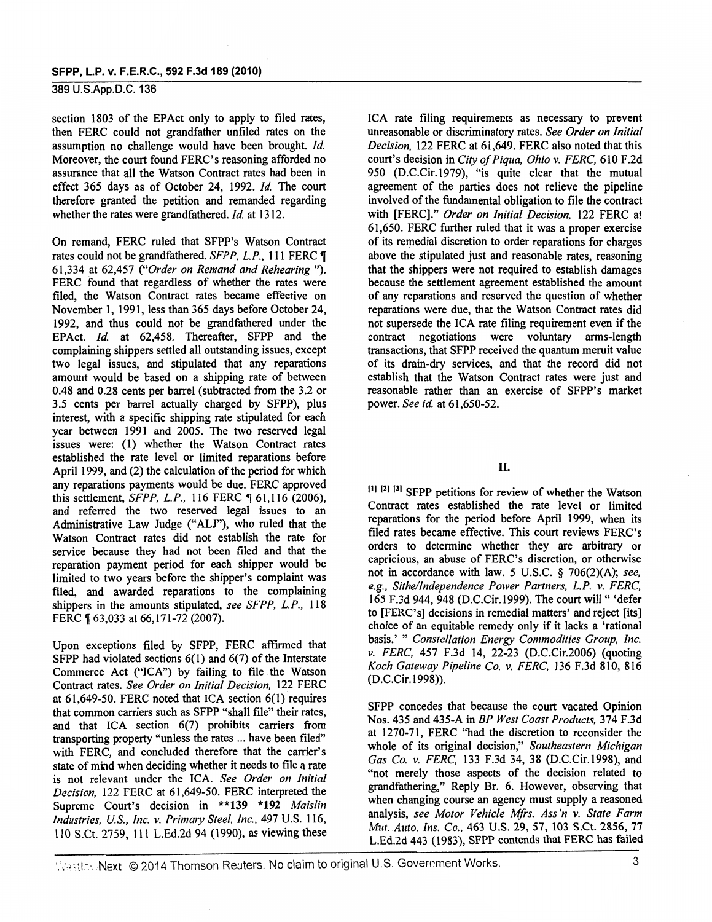section 1803 of the EPAct only to apply to filed rates, then FERC could not grandfather unfiled rates on the assumption no challenge would have been brought. Id. Moreover, the court found FERC's reasoning afforded no assurance that all the Watson Contract rates had been in effect 365 days as of October 24, 1992. *ld.* The court therefore granted the petition and remanded regarding whether the rates were grandfathered. *Id.* at 1312.

On remand, FERC ruled that SFPP's Watson Contract rates could not be grandfathered. *SFPP, L.P.*, 111 FERC ¶ 61,334 at 62,457 *("Order on Remand and Rehearing* "). FERC found that regardless of whether the rates were filed, the Watson Contract rates became effective on November 1, 1991, less than 365 days before October 24, 1992, and thus could not be grandfathered under the EPAct. *Id* at 62,458. Thereafter, SFPP and the complaining shippers settled all outstanding issues, except two legal issues, and stipulated that any reparations amount would be based on a shipping rate of between 0.48 and 0.28 cents per barrel (subtracted from the 3.2 or 3.5 cents per barrel actually charged by SFPP), plus interest, with a specific shipping rate stipulated for each year between 1991 and 2005. The two reserved legal issues were: (I) whether the Watson Contract rates established the rate level or limited reparations before April 1999, and (2) the calculation of the period for which any reparations payments would be due. FERC approved this settlement, *SFPP, L.P.*, 116 FERC  $\sqrt{ }$  61,116 (2006), and referred the two reserved legal issues to an Administrative Law Judge ("ALJ"), who ruled that the Watson Contract rates did not establish the rate for service because they had not been filed and that the reparation payment period for each shipper would be limited to two years before the shipper's complaint was filed, and awarded reparations to the complaining shippers in the amounts stipulated, *see SFPP, L.P.,* 118 FERC  $\sqrt{ }$  63,033 at 66,171-72 (2007).

Upon exceptions filed by SFPP, FERC affirmed that SFPP had violated sections  $6(1)$  and  $6(7)$  of the Interstate Commerce Act ("ICA") by failing to file the Watson Contract rates. *See Order on Initial Decision,* 122 FERC at 61,649-50. FERC noted that ICA section 6(1) requires that common carriers such as SFPP "shall file" their rates, and that ICA section 6(7) prohibits carriers from transporting property "unless the rates ... have been filed" with FERC, and concluded therefore that the carrier's state of mind when deciding whether it needs to file a rate is not relevant under the ICA. *See Order on Initial Decision,* 122 FERC at 61,649-50. FERC interpreted the Supreme Court's decision in \*\*139 \*192 *Mais/in Industries, U.S., Inc. v. Primary Steel, Inc.,* 497 U.S. 116, \\0 S.Ct. 2759, \11 L.Ed.2d 94 (1990), as viewing these ICA rate filing requirements as necessary to prevent unreasonable or discriminatory rates. *See Order on Initial Decision,* 122 FERC at 61,649. FERC also noted that this court's decision in *City of Piqua, Ohio v. FERC,* 610 F.2d 950 (D.C.Cir.l979), "is quite clear that the mutual agreement of the parties does not relieve the pipeline involved of the fundamental obligation to file the contract with [FERC]." *Order on Initial Decision,* 122 FERC at 61,650. FERC further ruled that it was a proper exercise of its remedial discretion to order reparations for charges above the stipulated just and reasonable rates, reasoning that the shippers were not required to establish damages because the settlement agreement established the amount of any reparations and reserved the question of whether reparations were due, that the Watson Contract rates did not supersede the ICA rate filing requirement even if the contract negotiations were voluntary arms-length transactions, that SFPP received the quantum meruit value of its drain-dry services, and that the record did not establish that the Watson Contract rates were just and reasonable rather than an exercise of SFPP's market power. *See id.* at 61,650-52.

## II.

[1] [2] [3] SFPP petitions for review of whether the Watson Contract rates established the rate level or limited reparations for the period before April 1999, when its filed rates became effective. This court reviews FERC's orders to determine whether they are arbitrary or capricious, an abuse of FERC's discretion, or otherwise not in accordance with law. 5 U.S.C. § 706(2)(A); *see, e.g., Sithellndependence Power Partners, L.P. v. FERC,*  165 F.3d 944, 948 (D.C.Cir.l999). The court will" 'defer to [FERC's] decisions in remedial matters' and reject [its] choice of an equitable remedy only if it lacks a 'rational basis.' " *Constellation Energy Commodities Group, Inc. v. FERC,* 457 F.3d 14, 22-23 (D.C.Cir.2006) (quoting *Koch Gateway Pipeline Co. v. FERC,* 136 F.3d 810, 816 (D.C.Cir.1998)).

SFPP concedes that because the court vacated Opinion Nos. 435 and 435-A in *BP West Coast Products,* 374 F.3d at 1270-71, FERC "had the discretion to reconsider the whole of its original decision," *Southeastern Michigan Gas Co. v. FERC,* 133 F.3d 34, 38 (D.C.Cir.l998), and "not merely those aspects of the decision related to grandfathering," Reply Br. 6. However, observing that when changing course an agency must supply a reasoned analysis, *see Motor Vehicle Mfrs. Ass'n v. State Farm Mut. Auto. Ins.* Co., 463 U.S. 29, 57, 103 S.Ct. 2856, 77 L.Ed.2d 443 (1983), SFPP contends that FERC has failed

Westlaw Next © 2014 Thomson Reuters. No claim to original U.S. Government Works. 3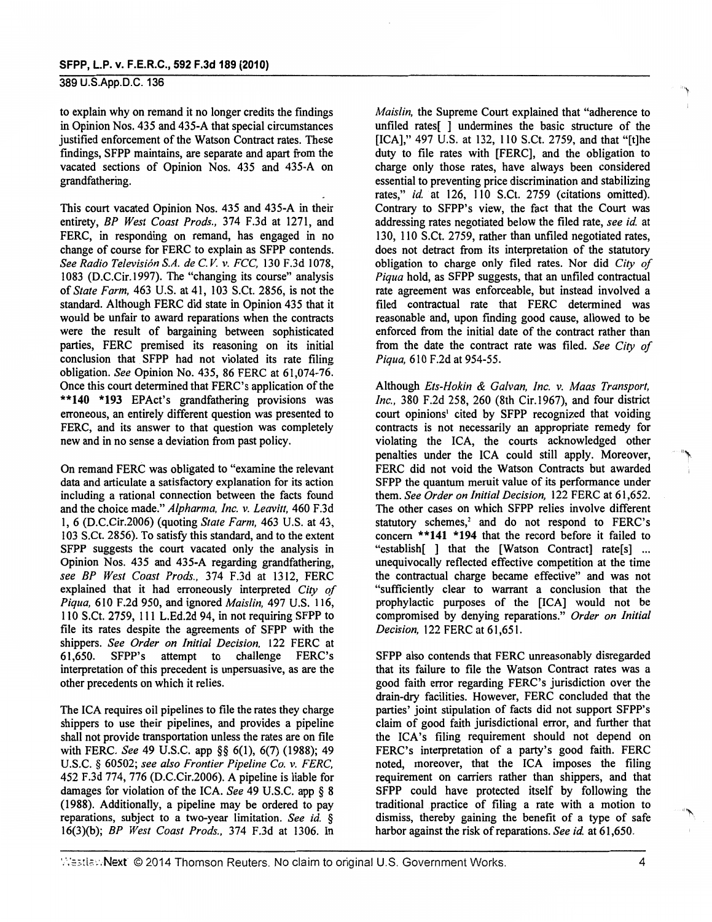to explain why on remand it no longer credits the fmdings in Opinion Nos. 435 and 435-A that special circumstances justified enforcement of the Watson Contract rates. These findings, SFPP maintains, are separate and apart from the vacated sections of Opinion Nos. 435 and 435-A on grandfathering.

This court vacated Opinion Nos. 435 and 435-A in their entirety, *BP West Coast Prods.,* 374 F.3d at 1271, and FERC, in responding on remand, has engaged in no change of course for FERC to explain as SFPP contends. *See Radio Television S.A. de* C. *V.* v. *FCC,* 130 F.3d 1078, 1083 (D.C.Cir.l997). The "changing its course" analysis of *State Farm,* 463 U.S. at 41, 103 S.Ct. 2856, is not the standard. Although FERC did state in Opinion 435 that it would be unfair to award reparations when the contracts were the result of bargaining between sophisticated parties, FERC premised its reasoning on its initial conclusion that SFPP had not violated its rate filing obligation. *See* Opinion No. 435, 86 FERC at 61,074-76. Once this court determined that FERC's application of the **\*\*140 \*193** EPAct's grandfathering provisions was erroneous, an entirely different question was presented to FERC, and its answer to that question was completely new and in no sense a deviation from past policy.

On remand FERC was obligated to "examine the relevant data and articulate a satisfactory explanation for its action including a rational connection between the facts found and the choice made." *Alpharma, Inc. v. Leavitt,* 460 F.3d 1, 6 (D.C.Cir.2006) (quoting *State Farm,* 463 U.S. at 43, 103 S.Ct. 2856). To satisfy this standard, and to the extent SFPP suggests the court vacated only the analysis in Opinion Nos. 435 and 435-A regarding grandfathering, *see BP West Coast Prods.,* 374 F.3d at 1312, FERC explained that it had erroneously interpreted *City of Piqua,* 610 F.2d 950, and ignored *Mais/in,* 497 U.S. 116, 110 S.Ct. 2759, Ill L.Ed.2d 94, in not requiring SFPP to file its rates despite the agreements of SFPP with the shippers. *See Order on Initial Decision,* 122 FERC at 61,650. SFPP's attempt to challenge FERC's interpretation of this precedent is unpersuasive, as are the other precedents on which it relies.

The ICA requires oil pipelines to file the rates they charge shippers to use their pipelines, and provides a pipeline shall not provide transportation unless the rates are on file with FERC. *See* 49 U.S.C. app §§ 6(1), 6(7) (1988); 49 U.S.C. § 60502; *see also Frontier Pipeline Co;* v. *FERC,*  452 F.3d 774, 776 (D.C.Cir.2006). A pipeline is liable for damages for violation of the ICA. *See* 49 U.S.C. app § 8 (1988). Additionally, a pipeline may be ordered to pay reparations, subject to a two-year limitation. *See id.* § 16(3)(b); *BP West Coast Prods.,* 374 F.3d at 1306. In *Mais/in,* the Supreme Court explained that "adherence to unfiled rates[ ] undermines the basic structure of the [ICA]," 497 U.S. at 132, 110 S.Ct. 2759, and that "[t]he duty to file rates with [FERC], and the obligation to charge only those rates, have always been considered essential to preventing price discrimination and stabilizing rates," *id* at 126, 110 S.Ct. 2759 (citations omitted). Contrary to SFPP's view, the fact that the Court was addressing rates negotiated below the filed rate, *see id* at 130, 110 S.Ct. 2759, rather than unfiled negotiated rates, does not detract from its interpretation of the statutory obligation to charge only filed rates. Nor did *City of Piqua* hold, as SFPP suggests, that an unfiled contractual rate agreement was enforceable, but instead involved a filed contractual rate that FERC determined was reasonable and, upon fmding good cause, allowed to be enforced from the initial date of the contract rather than from the date the contract rate was filed. *See City of Piqua,* 610 F.2d at *954-55.* 

Although *Ets-Hokin & Galvan, Inc. v. Maas Transport, Inc.,* 380 F.2d 258, 260 (8th Cir.1967), and four district court opinions' cited by SFPP recognized that voiding contracts is not necessarily an appropriate remedy for violating the ICA, the courts acknowledged other penalties under the ICA could still apply. Moreover, FERC did not void the Watson Contracts but awarded SFPP the quantum meruit value of its performance under them. *See Order on Initial Decision,* 122 FERC at 61,652. The other cases on which SFPP relies involve different statutory schemes,<sup>2</sup> and do not respond to FERC's concern **\*\*141 \*194** that the record before it failed to "establish[ ] that the [Watson Contract] rate[s] ... unequivocally reflected effective competition at the time the contractual charge became effective" and was not "sufficiently clear to warrant a conclusion that the prophylactic purposes of the [ICA] would not be compromised by denying reparations." *Order on Initial Decision,* 122 FERC at 61 ,65 I.

SFPP also contends that FERC unreasonably disregarded that its failure to file the Watson Contract rates was a good faith error regarding FERC's jurisdiction over the drain-dry facilities. However, FERC concluded that the parties' joint stipulation of facts did not support SFPP's claim of good faith jurisdictional error, and further that the ICA's filing requirement should not depend on FERC's interpretation of a party's good faith. FERC noted, moreover, that the ICA imposes the filing requirement on carriers rather than shippers, and that SFPP could have protected itself by following the traditional practice of filing a rate with a motion to dismiss, thereby gaining the benefit of a type of safe harbor against the risk of reparations. *See id.* at 61,650.

Westlaw Next © 2014 Thomson Reuters. No claim to original U.S. Government Works. 4 4

'''"!' I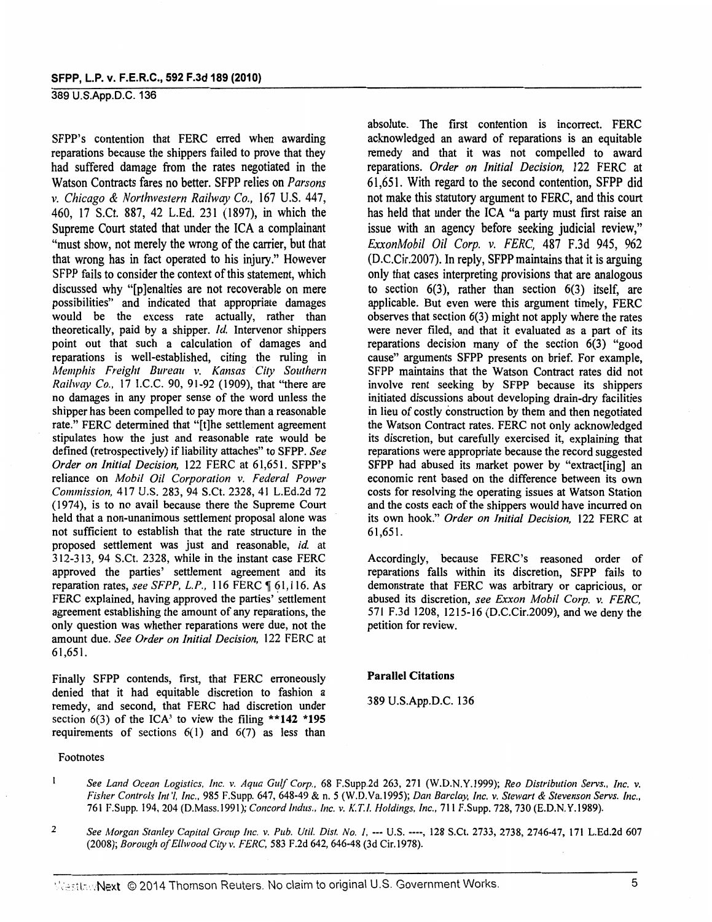SFPP's contention that FERC erred when awarding reparations because the shippers failed to prove that they had suffered damage from the rates negotiated in the Watson Contracts fares no better. SFPP relies on *Parsons*  v. *Chicago* & *Northwestern Railway Co.,* 167 U.S. 447, 460, 17 S.Ct. 887, 42 L.Ed. 231 ( 1897), in which the Supreme Court stated that under the ICA a complainant "must show, not merely the wrong of the carrier, but that that wrong has in fact operated to his injury." However SFPP fails to consider the context of this statement, which discussed why "[p]enalties are not recoverable on mere possibilities" and indicated that appropriate damages would be the excess rate actually, rather than theoretically, paid by a shipper. */d.* Intervenor shippers point out that such a calculation of damages and reparations is well-established, citing the ruling in *Memphis Freight Bureau* v. *Kansas City Southern Railway Co.,* 17 I.C.C. 90, 91-92 (1909), that "there are no damages in any proper sense of the word unless the shipper has been compelled to pay more than a reasonable rate." FERC determined that "[t]he settlement agreement stipulates how the just and reasonable rate would be defined (retrospectively) if liability attaches" to SFPP. *See Order on Initial Decision, 122 FERC at 61,651. SFPP's* reliance on *Mobil Oil Corporation* v. *Federal Power Commission, 417 U.S. 283, 94 S.Ct. 2328, 41 L.Ed.2d 72* (1974), is to no avail because there the Supreme Court held that a non-unanimous settlement proposal alone was not sufficient to establish that the rate structure in the proposed settlement was just and reasonable, *id.* at 312-313, 94 S.Ct. 2328, while in the instant case FERC approved the parties' settlement agreement and its reparation rates, *see SFPP, L.P.*, 116 FERC **[61,116. As** FERC explained, having approved the parties' settlement agreement establishing the amount of any reparations, the only question was whether reparations were due, not the amount due. *See Order on Initial Decision,* 122 FERC at 61,651.

Finally SFPP contends, first, that FERC erroneously denied that it had equitable discretion to fashion a remedy, and second, that FERC had discretion under section  $6(3)$  of the ICA<sup>3</sup> to view the filing \*\*142 \*195 requirements of sections  $6(1)$  and  $6(7)$  as less than

absolute. The first contention is incorrect. FERC acknowledged an award of reparations is an equitable remedy and that it was not compelled to award reparations. *Order on Initial Decision,* 122 FERC at 61 ,651. With regard to the second contention, SFPP did not make this statutory argument to FERC, and this court has held that under the ICA "a party must first raise an issue with an agency before seeking judicial review," *ExxonMobil Oil Corp.* v. *FERC,* 487 F.3d 945, 962 (D.C.Cir.2007). In reply, SFPP maintains that it is arguing only that cases interpreting provisions that are analogous to section  $6(3)$ , rather than section  $6(3)$  itself, are applicable. But even were this argument timely, FERC observes that section 6(3) might not apply where the rates were never filed, and that it evaluated as a part of its reparations decision many of the section  $6(3)$  "good cause" arguments SFPP presents on brief. For example, SFPP maintains that the Watson Contract rates did not involve rent seeking by SFPP because its shippers initiated discussions about developing drain-dry facilities in lieu of costly construction by them and then negotiated the Watson Contract rates. FERC not only acknowledged its discretion, but carefully exercised it, explaining that reparations were appropriate because the record suggested SFPP had abused its market power by "extract[ing] an economic rent based on the difference between its own costs for resolving the operating issues at Watson Station and the costs each of the shippers would have incurred on its own hook." *Order on Initial Decision,* 122 FERC at 61,651.

Accordingly, because FERC's reasoned order of reparations falls within its discretion, SFPP fails to demonstrate that FERC was arbitrary or capricious, or abused its discretion, *see Exxon Mobil Corp.* v. *FERC,*  571 F.3d 1208, 1215-16 (D.C.Cir.2009), and we deny the petition for review.

## Parallel Citations

389 U.S.App.D.C. 136

### Footnotes

- $\mathbf{I}$ *See Land Ocean Logistics, Inc. v. Aqua Gulf Corp.,* 68 F.Supp.2d 263, 271 (W.D.N.Y.1999); *Reo Distribution Servs., Inc. v. Fisher Controls lnt'l, Inc.,* 985 F.Supp. 647,648-49 & n. *5* (W.D.Va.1995); *Dan Barclay, Inc. v. Stewart* & *Stevenson Servs. Inc.,*  761 F.Supp. 194, 204 (D.Mass.1991 ); *Concord Indus., Inc. v. K. T.l. Holdings, Inc.,* 711 F.Supp. 728, 730 (E.D.N. Y.l989).
- 2 *See Morgan Stanley Capital Group Inc. v. Pub. Uti!. Dist. No. I,* --- U.S. ----, 128 S.Ct. 2733, 2738, 2746-47, 171 L.Ed.2d 607 (2008); *Borough of Ellwood City v. FERC,* 583 F.2d 642, 646-48 (3d Cir.1978).